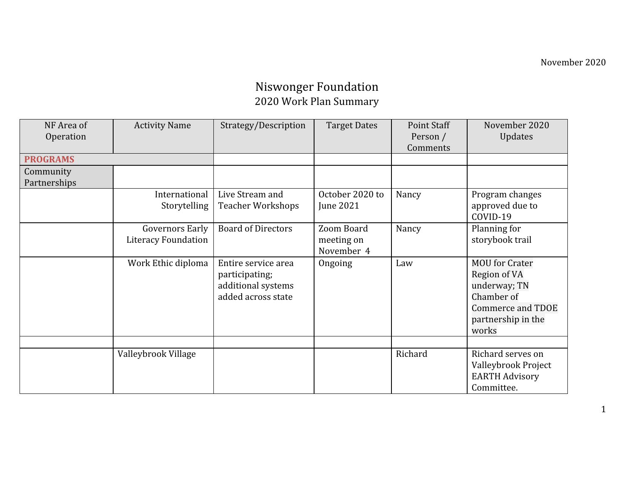## Niswonger Foundation 2020 Work Plan Summary

| NF Area of      | <b>Activity Name</b>   | Strategy/Description      | <b>Target Dates</b> | Point Staff | November 2020         |
|-----------------|------------------------|---------------------------|---------------------|-------------|-----------------------|
| Operation       |                        |                           |                     | Person /    | Updates               |
|                 |                        |                           |                     | Comments    |                       |
| <b>PROGRAMS</b> |                        |                           |                     |             |                       |
| Community       |                        |                           |                     |             |                       |
| Partnerships    |                        |                           |                     |             |                       |
|                 | International          | Live Stream and           | October 2020 to     | Nancy       | Program changes       |
|                 | Storytelling           | <b>Teacher Workshops</b>  | June 2021           |             | approved due to       |
|                 |                        |                           |                     |             | COVID-19              |
|                 | <b>Governors Early</b> | <b>Board of Directors</b> | Zoom Board          | Nancy       | Planning for          |
|                 | Literacy Foundation    |                           | meeting on          |             | storybook trail       |
|                 |                        |                           | November 4          |             |                       |
|                 | Work Ethic diploma     | Entire service area       | Ongoing             | Law         | <b>MOU</b> for Crater |
|                 |                        | participating;            |                     |             | Region of VA          |
|                 |                        | additional systems        |                     |             | underway; TN          |
|                 |                        | added across state        |                     |             | Chamber of            |
|                 |                        |                           |                     |             | Commerce and TDOE     |
|                 |                        |                           |                     |             | partnership in the    |
|                 |                        |                           |                     |             | works                 |
|                 |                        |                           |                     |             |                       |
|                 | Valleybrook Village    |                           |                     | Richard     | Richard serves on     |
|                 |                        |                           |                     |             | Valleybrook Project   |
|                 |                        |                           |                     |             | <b>EARTH Advisory</b> |
|                 |                        |                           |                     |             | Committee.            |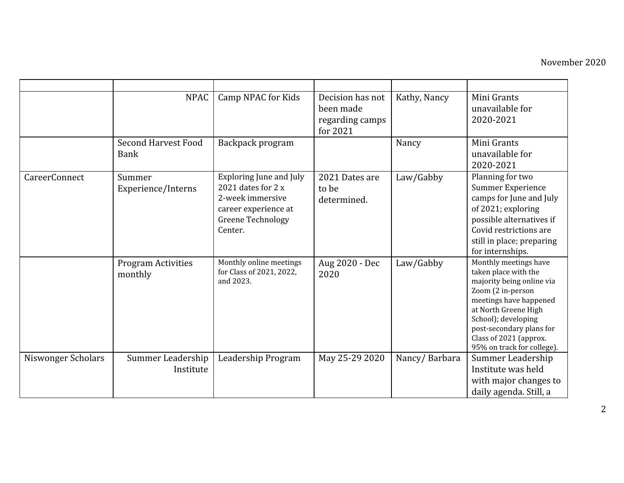|                    | <b>NPAC</b>                               | Camp NPAC for Kids                                                                                                               | Decision has not<br>been made<br>regarding camps<br>for 2021 | Kathy, Nancy  | Mini Grants<br>unavailable for<br>2020-2021                                                                                                                                                                                                                  |
|--------------------|-------------------------------------------|----------------------------------------------------------------------------------------------------------------------------------|--------------------------------------------------------------|---------------|--------------------------------------------------------------------------------------------------------------------------------------------------------------------------------------------------------------------------------------------------------------|
|                    | <b>Second Harvest Food</b><br><b>Bank</b> | Backpack program                                                                                                                 |                                                              | Nancy         | Mini Grants<br>unavailable for<br>2020-2021                                                                                                                                                                                                                  |
| CareerConnect      | Summer<br>Experience/Interns              | Exploring June and July<br>2021 dates for 2 x<br>2-week immersive<br>career experience at<br><b>Greene Technology</b><br>Center. | 2021 Dates are<br>to be<br>determined.                       | Law/Gabby     | Planning for two<br><b>Summer Experience</b><br>camps for June and July<br>of 2021; exploring<br>possible alternatives if<br>Covid restrictions are<br>still in place; preparing<br>for internships.                                                         |
|                    | <b>Program Activities</b><br>monthly      | Monthly online meetings<br>for Class of 2021, 2022,<br>and 2023.                                                                 | Aug 2020 - Dec<br>2020                                       | Law/Gabby     | Monthly meetings have<br>taken place with the<br>majority being online via<br>Zoom (2 in-person<br>meetings have happened<br>at North Greene High<br>School); developing<br>post-secondary plans for<br>Class of 2021 (approx.<br>95% on track for college). |
| Niswonger Scholars | Summer Leadership<br>Institute            | Leadership Program                                                                                                               | May 25-29 2020                                               | Nancy/Barbara | Summer Leadership<br>Institute was held<br>with major changes to<br>daily agenda. Still, a                                                                                                                                                                   |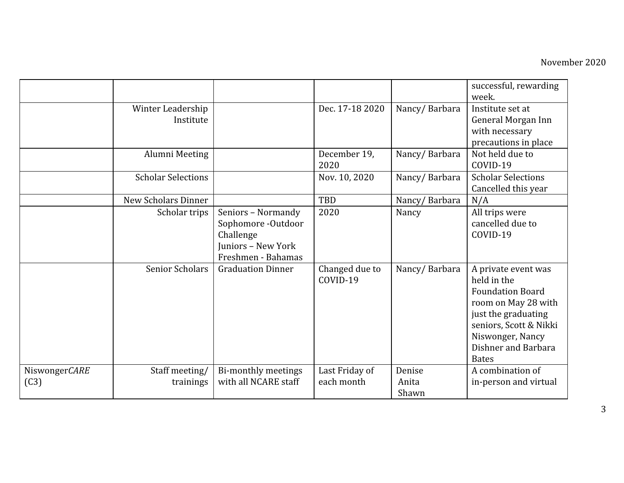|               |                                |                                                                                                   |                            |                | successful, rewarding<br>week.                                                                                                                                                                   |
|---------------|--------------------------------|---------------------------------------------------------------------------------------------------|----------------------------|----------------|--------------------------------------------------------------------------------------------------------------------------------------------------------------------------------------------------|
|               | Winter Leadership<br>Institute |                                                                                                   | Dec. 17-18 2020            | Nancy/Barbara  | Institute set at<br>General Morgan Inn<br>with necessary<br>precautions in place                                                                                                                 |
|               | Alumni Meeting                 |                                                                                                   | December 19,<br>2020       | Nancy/Barbara  | Not held due to<br>COVID-19                                                                                                                                                                      |
|               | <b>Scholar Selections</b>      |                                                                                                   | Nov. 10, 2020              | Nancy/Barbara  | <b>Scholar Selections</b><br>Cancelled this year                                                                                                                                                 |
|               | <b>New Scholars Dinner</b>     |                                                                                                   | <b>TBD</b>                 | Nancy/Barbara  | N/A                                                                                                                                                                                              |
|               | Scholar trips                  | Seniors - Normandy<br>Sophomore -Outdoor<br>Challenge<br>Juniors - New York<br>Freshmen - Bahamas | 2020                       | Nancy          | All trips were<br>cancelled due to<br>COVID-19                                                                                                                                                   |
|               | <b>Senior Scholars</b>         | <b>Graduation Dinner</b>                                                                          | Changed due to<br>COVID-19 | Nancy/Barbara  | A private event was<br>held in the<br><b>Foundation Board</b><br>room on May 28 with<br>just the graduating<br>seniors, Scott & Nikki<br>Niswonger, Nancy<br>Dishner and Barbara<br><b>Bates</b> |
| NiswongerCARE | Staff meeting/                 | Bi-monthly meetings                                                                               | Last Friday of             | Denise         | A combination of                                                                                                                                                                                 |
| (C3)          | trainings                      | with all NCARE staff                                                                              | each month                 | Anita<br>Shawn | in-person and virtual                                                                                                                                                                            |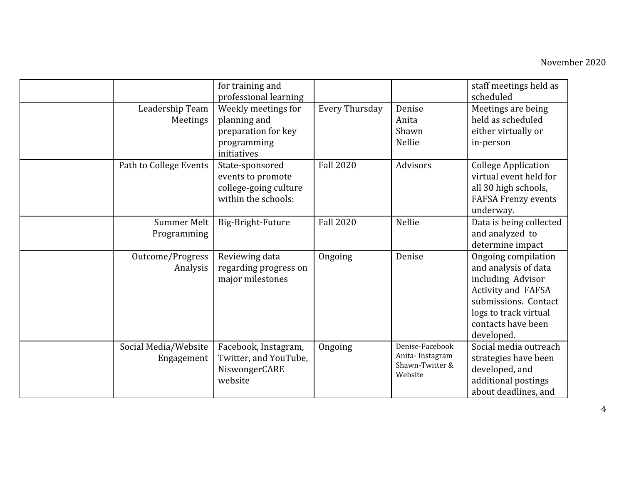|                                    | for training and<br>professional learning                                                |                       |                                                                  | staff meetings held as<br>scheduled                                                                                                                                         |
|------------------------------------|------------------------------------------------------------------------------------------|-----------------------|------------------------------------------------------------------|-----------------------------------------------------------------------------------------------------------------------------------------------------------------------------|
| Leadership Team<br>Meetings        | Weekly meetings for<br>planning and<br>preparation for key<br>programming<br>initiatives | <b>Every Thursday</b> | Denise<br>Anita<br>Shawn<br>Nellie                               | Meetings are being<br>held as scheduled<br>either virtually or<br>in-person                                                                                                 |
| Path to College Events             | State-sponsored<br>events to promote<br>college-going culture<br>within the schools:     | <b>Fall 2020</b>      | Advisors                                                         | <b>College Application</b><br>virtual event held for<br>all 30 high schools,<br><b>FAFSA Frenzy events</b><br>underway.                                                     |
| Summer Melt<br>Programming         | Big-Bright-Future                                                                        | <b>Fall 2020</b>      | Nellie                                                           | Data is being collected<br>and analyzed to<br>determine impact                                                                                                              |
| Outcome/Progress<br>Analysis       | Reviewing data<br>regarding progress on<br>major milestones                              | Ongoing               | Denise                                                           | Ongoing compilation<br>and analysis of data<br>including Advisor<br>Activity and FAFSA<br>submissions. Contact<br>logs to track virtual<br>contacts have been<br>developed. |
| Social Media/Website<br>Engagement | Facebook, Instagram,<br>Twitter, and YouTube,<br>NiswongerCARE<br>website                | Ongoing               | Denise-Facebook<br>Anita-Instagram<br>Shawn-Twitter &<br>Website | Social media outreach<br>strategies have been<br>developed, and<br>additional postings<br>about deadlines, and                                                              |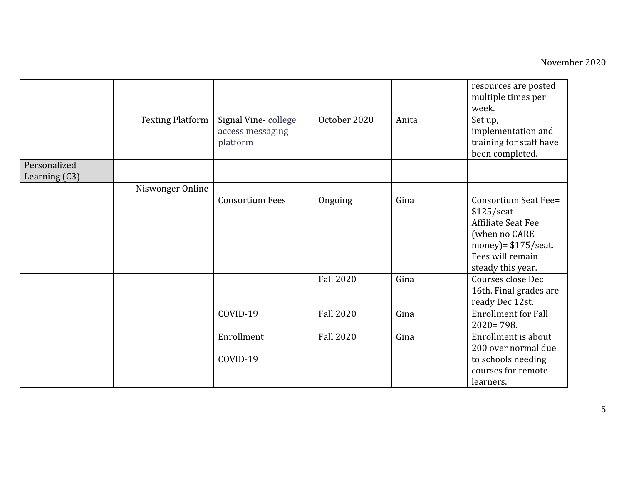|               |                         |                                                     |                  |       | resources are posted<br>multiple times per<br>week.                                                                                                   |
|---------------|-------------------------|-----------------------------------------------------|------------------|-------|-------------------------------------------------------------------------------------------------------------------------------------------------------|
|               | <b>Texting Platform</b> | Signal Vine-college<br>access messaging<br>platform | October 2020     | Anita | Set up,<br>implementation and<br>training for staff have<br>been completed.                                                                           |
| Personalized  |                         |                                                     |                  |       |                                                                                                                                                       |
| Learning (C3) |                         |                                                     |                  |       |                                                                                                                                                       |
|               | Niswonger Online        |                                                     |                  |       |                                                                                                                                                       |
|               |                         | <b>Consortium Fees</b>                              | Ongoing          | Gina  | Consortium Seat Fee=<br>$$125/$ seat<br><b>Affiliate Seat Fee</b><br>(when no CARE<br>money) = $$175$ /seat.<br>Fees will remain<br>steady this year. |
|               |                         |                                                     | <b>Fall 2020</b> | Gina  | Courses close Dec<br>16th. Final grades are<br>ready Dec 12st.                                                                                        |
|               |                         | COVID-19                                            | <b>Fall 2020</b> | Gina  | <b>Enrollment for Fall</b><br>$2020 = 798.$                                                                                                           |
|               |                         | Enrollment                                          | <b>Fall 2020</b> | Gina  | Enrollment is about<br>200 over normal due                                                                                                            |
|               |                         | COVID-19                                            |                  |       | to schools needing<br>courses for remote<br>learners.                                                                                                 |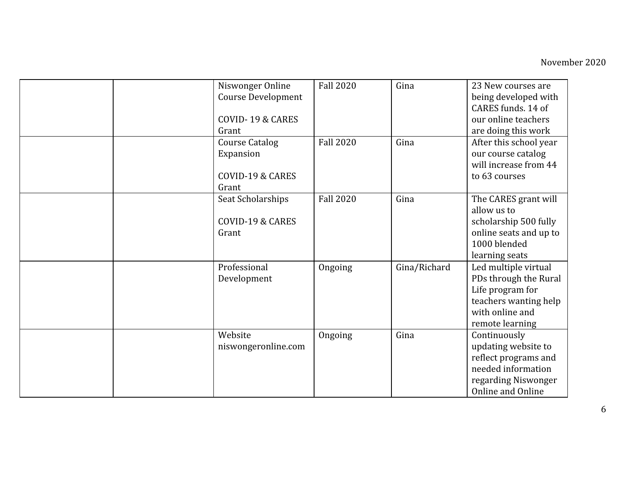|  | Niswonger Online<br><b>Course Development</b><br>COVID-19 & CARES<br>Grant | <b>Fall 2020</b> | Gina         | 23 New courses are<br>being developed with<br>CARES funds, 14 of<br>our online teachers<br>are doing this work                   |
|--|----------------------------------------------------------------------------|------------------|--------------|----------------------------------------------------------------------------------------------------------------------------------|
|  | <b>Course Catalog</b><br>Expansion<br>COVID-19 & CARES<br>Grant            | <b>Fall 2020</b> | Gina         | After this school year<br>our course catalog<br>will increase from 44<br>to 63 courses                                           |
|  | Seat Scholarships<br>COVID-19 & CARES<br>Grant                             | <b>Fall 2020</b> | Gina         | The CARES grant will<br>allow us to<br>scholarship 500 fully<br>online seats and up to<br>1000 blended<br>learning seats         |
|  | Professional<br>Development                                                | Ongoing          | Gina/Richard | Led multiple virtual<br>PDs through the Rural<br>Life program for<br>teachers wanting help<br>with online and<br>remote learning |
|  | Website<br>niswongeronline.com                                             | Ongoing          | Gina         | Continuously<br>updating website to<br>reflect programs and<br>needed information<br>regarding Niswonger<br>Online and Online    |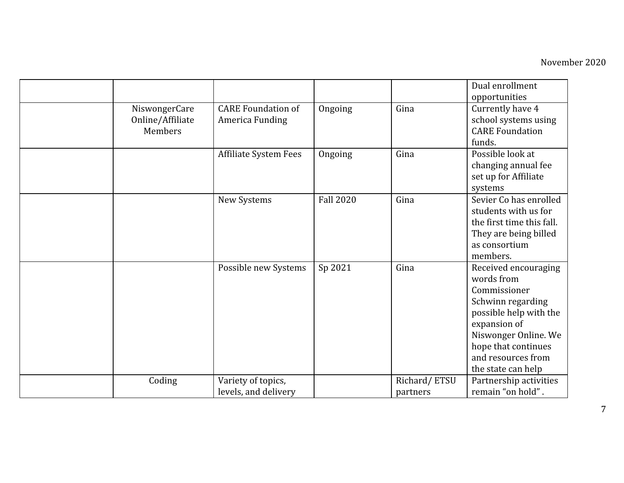|                                              |                                              |                  |                          | Dual enrollment<br>opportunities                                                                                                                                                                             |
|----------------------------------------------|----------------------------------------------|------------------|--------------------------|--------------------------------------------------------------------------------------------------------------------------------------------------------------------------------------------------------------|
| NiswongerCare<br>Online/Affiliate<br>Members | <b>CARE Foundation of</b><br>America Funding | Ongoing          | Gina                     | Currently have 4<br>school systems using<br><b>CARE Foundation</b><br>funds.                                                                                                                                 |
|                                              | <b>Affiliate System Fees</b>                 | Ongoing          | Gina                     | Possible look at<br>changing annual fee<br>set up for Affiliate<br>systems                                                                                                                                   |
|                                              | New Systems                                  | <b>Fall 2020</b> | Gina                     | Sevier Co has enrolled<br>students with us for<br>the first time this fall.<br>They are being billed<br>as consortium<br>members.                                                                            |
|                                              | Possible new Systems                         | Sp 2021          | Gina                     | Received encouraging<br>words from<br>Commissioner<br>Schwinn regarding<br>possible help with the<br>expansion of<br>Niswonger Online. We<br>hope that continues<br>and resources from<br>the state can help |
| Coding                                       | Variety of topics,<br>levels, and delivery   |                  | Richard/ETSU<br>partners | Partnership activities<br>remain "on hold".                                                                                                                                                                  |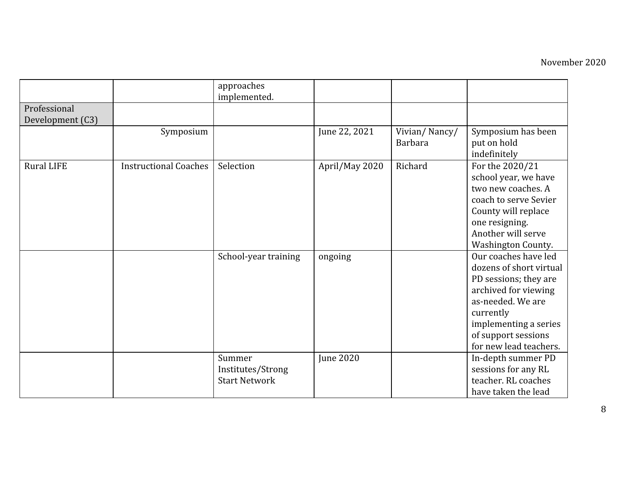|                   |                              | approaches<br>implemented.                          |                  |                                 |                                                                                                                                                                                                              |
|-------------------|------------------------------|-----------------------------------------------------|------------------|---------------------------------|--------------------------------------------------------------------------------------------------------------------------------------------------------------------------------------------------------------|
| Professional      |                              |                                                     |                  |                                 |                                                                                                                                                                                                              |
| Development (C3)  |                              |                                                     |                  |                                 |                                                                                                                                                                                                              |
|                   | Symposium                    |                                                     | June 22, 2021    | Vivian/Nancy/<br><b>Barbara</b> | Symposium has been<br>put on hold<br>indefinitely                                                                                                                                                            |
| <b>Rural LIFE</b> | <b>Instructional Coaches</b> | Selection                                           | April/May 2020   | Richard                         | For the 2020/21<br>school year, we have<br>two new coaches. A<br>coach to serve Sevier<br>County will replace<br>one resigning.<br>Another will serve<br>Washington County.                                  |
|                   |                              | School-year training                                | ongoing          |                                 | Our coaches have led<br>dozens of short virtual<br>PD sessions; they are<br>archived for viewing<br>as-needed. We are<br>currently<br>implementing a series<br>of support sessions<br>for new lead teachers. |
|                   |                              | Summer<br>Institutes/Strong<br><b>Start Network</b> | <b>June 2020</b> |                                 | In-depth summer PD<br>sessions for any RL<br>teacher. RL coaches<br>have taken the lead                                                                                                                      |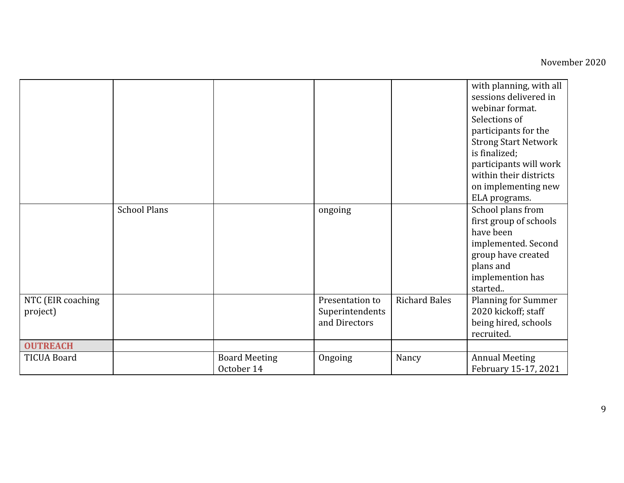|                               |                     |                                    |                                                     |                      | with planning, with all<br>sessions delivered in<br>webinar format.<br>Selections of<br>participants for the<br><b>Strong Start Network</b><br>is finalized;<br>participants will work<br>within their districts<br>on implementing new<br>ELA programs. |
|-------------------------------|---------------------|------------------------------------|-----------------------------------------------------|----------------------|----------------------------------------------------------------------------------------------------------------------------------------------------------------------------------------------------------------------------------------------------------|
|                               | <b>School Plans</b> |                                    | ongoing                                             |                      | School plans from<br>first group of schools<br>have been<br>implemented. Second<br>group have created<br>plans and<br>implemention has<br>started                                                                                                        |
| NTC (EIR coaching<br>project) |                     |                                    | Presentation to<br>Superintendents<br>and Directors | <b>Richard Bales</b> | <b>Planning for Summer</b><br>2020 kickoff; staff<br>being hired, schools<br>recruited.                                                                                                                                                                  |
| <b>OUTREACH</b>               |                     |                                    |                                                     |                      |                                                                                                                                                                                                                                                          |
| <b>TICUA Board</b>            |                     | <b>Board Meeting</b><br>October 14 | Ongoing                                             | Nancy                | <b>Annual Meeting</b><br>February 15-17, 2021                                                                                                                                                                                                            |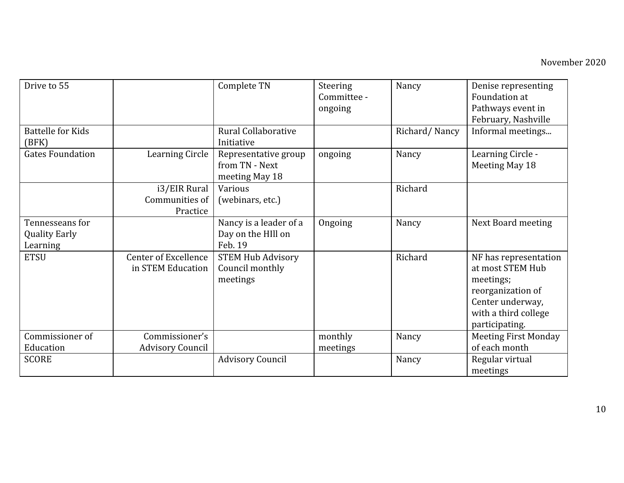| Drive to 55                                         |                                                  | Complete TN                                              | Steering<br>Committee -<br>ongoing | Nancy         | Denise representing<br>Foundation at<br>Pathways event in<br>February, Nashville                                                          |
|-----------------------------------------------------|--------------------------------------------------|----------------------------------------------------------|------------------------------------|---------------|-------------------------------------------------------------------------------------------------------------------------------------------|
| <b>Battelle for Kids</b><br>(BFK)                   |                                                  | Rural Collaborative<br>Initiative                        |                                    | Richard/Nancy | Informal meetings                                                                                                                         |
| <b>Gates Foundation</b>                             | <b>Learning Circle</b>                           | Representative group<br>from TN - Next<br>meeting May 18 | ongoing                            | Nancy         | Learning Circle -<br>Meeting May 18                                                                                                       |
|                                                     | i3/EIR Rural<br>Communities of<br>Practice       | Various<br>(webinars, etc.)                              |                                    | Richard       |                                                                                                                                           |
| Tennesseans for<br><b>Quality Early</b><br>Learning |                                                  | Nancy is a leader of a<br>Day on the HIll on<br>Feb. 19  | Ongoing                            | Nancy         | <b>Next Board meeting</b>                                                                                                                 |
| <b>ETSU</b>                                         | <b>Center of Excellence</b><br>in STEM Education | <b>STEM Hub Advisory</b><br>Council monthly<br>meetings  |                                    | Richard       | NF has representation<br>at most STEM Hub<br>meetings;<br>reorganization of<br>Center underway,<br>with a third college<br>participating. |
| Commissioner of                                     | Commissioner's                                   |                                                          | monthly                            | Nancy         | <b>Meeting First Monday</b>                                                                                                               |
| Education<br><b>SCORE</b>                           | <b>Advisory Council</b>                          | <b>Advisory Council</b>                                  | meetings                           | Nancy         | of each month<br>Regular virtual                                                                                                          |
|                                                     |                                                  |                                                          |                                    |               | meetings                                                                                                                                  |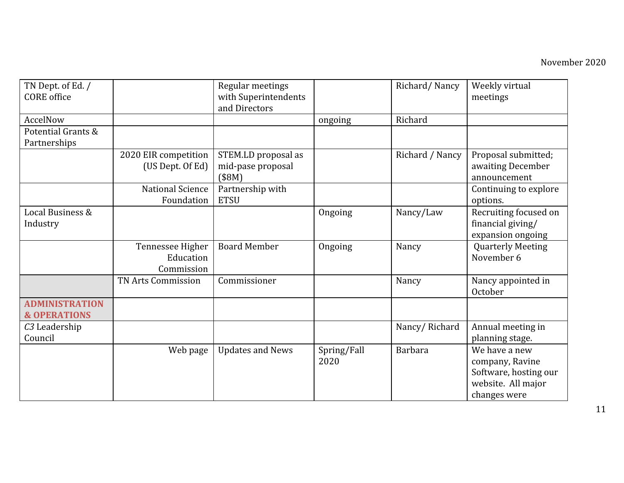| TN Dept. of Ed. /<br><b>CORE</b> office          |                                             | Regular meetings<br>with Superintendents |                     | Richard/Nancy   | Weekly virtual<br>meetings                                                                      |
|--------------------------------------------------|---------------------------------------------|------------------------------------------|---------------------|-----------------|-------------------------------------------------------------------------------------------------|
|                                                  |                                             | and Directors                            |                     |                 |                                                                                                 |
| AccelNow                                         |                                             |                                          | ongoing             | Richard         |                                                                                                 |
| Potential Grants &<br>Partnerships               |                                             |                                          |                     |                 |                                                                                                 |
|                                                  | 2020 EIR competition                        | STEM.LD proposal as                      |                     | Richard / Nancy | Proposal submitted;                                                                             |
|                                                  | (US Dept. Of Ed)                            | mid-pase proposal<br>(\$8M)              |                     |                 | awaiting December<br>announcement                                                               |
|                                                  | <b>National Science</b><br>Foundation       | Partnership with<br><b>ETSU</b>          |                     |                 | Continuing to explore<br>options.                                                               |
| Local Business &<br>Industry                     |                                             |                                          | Ongoing             | Nancy/Law       | Recruiting focused on<br>financial giving/<br>expansion ongoing                                 |
|                                                  | Tennessee Higher<br>Education<br>Commission | <b>Board Member</b>                      | Ongoing             | Nancy           | <b>Quarterly Meeting</b><br>November 6                                                          |
|                                                  | <b>TN Arts Commission</b>                   | Commissioner                             |                     | Nancy           | Nancy appointed in<br>October                                                                   |
| <b>ADMINISTRATION</b><br><b>&amp; OPERATIONS</b> |                                             |                                          |                     |                 |                                                                                                 |
| C <sub>3</sub> Leadership<br>Council             |                                             |                                          |                     | Nancy/Richard   | Annual meeting in<br>planning stage.                                                            |
|                                                  | Web page                                    | <b>Updates and News</b>                  | Spring/Fall<br>2020 | <b>Barbara</b>  | We have a new<br>company, Ravine<br>Software, hosting our<br>website. All major<br>changes were |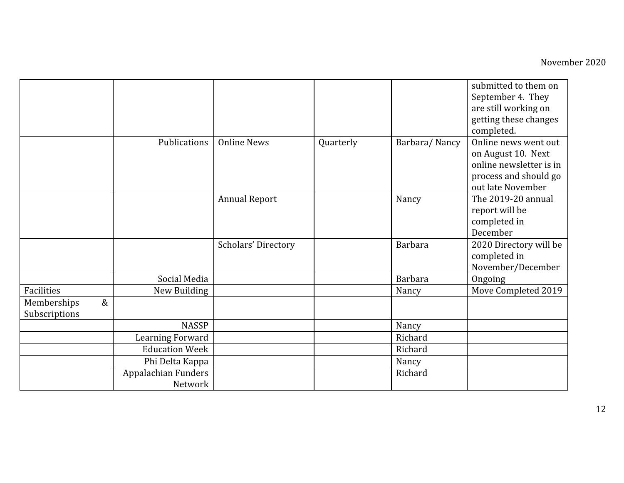|                     |                       |                      |           |                | submitted to them on    |
|---------------------|-----------------------|----------------------|-----------|----------------|-------------------------|
|                     |                       |                      |           |                | September 4. They       |
|                     |                       |                      |           |                | are still working on    |
|                     |                       |                      |           |                | getting these changes   |
|                     |                       |                      |           |                | completed.              |
|                     | Publications          | <b>Online News</b>   | Quarterly | Barbara/Nancy  | Online news went out    |
|                     |                       |                      |           |                | on August 10. Next      |
|                     |                       |                      |           |                | online newsletter is in |
|                     |                       |                      |           |                | process and should go   |
|                     |                       |                      |           |                | out late November       |
|                     |                       | <b>Annual Report</b> |           | Nancy          | The 2019-20 annual      |
|                     |                       |                      |           |                | report will be          |
|                     |                       |                      |           |                | completed in            |
|                     |                       |                      |           |                | December                |
|                     |                       | Scholars' Directory  |           | <b>Barbara</b> | 2020 Directory will be  |
|                     |                       |                      |           |                | completed in            |
|                     |                       |                      |           |                | November/December       |
|                     | Social Media          |                      |           | <b>Barbara</b> | Ongoing                 |
| Facilities          | New Building          |                      |           | Nancy          | Move Completed 2019     |
| $\&$<br>Memberships |                       |                      |           |                |                         |
| Subscriptions       |                       |                      |           |                |                         |
|                     | <b>NASSP</b>          |                      |           | Nancy          |                         |
|                     | Learning Forward      |                      |           | Richard        |                         |
|                     | <b>Education Week</b> |                      |           | Richard        |                         |
|                     | Phi Delta Kappa       |                      |           | Nancy          |                         |
|                     | Appalachian Funders   |                      |           | Richard        |                         |
|                     | Network               |                      |           |                |                         |